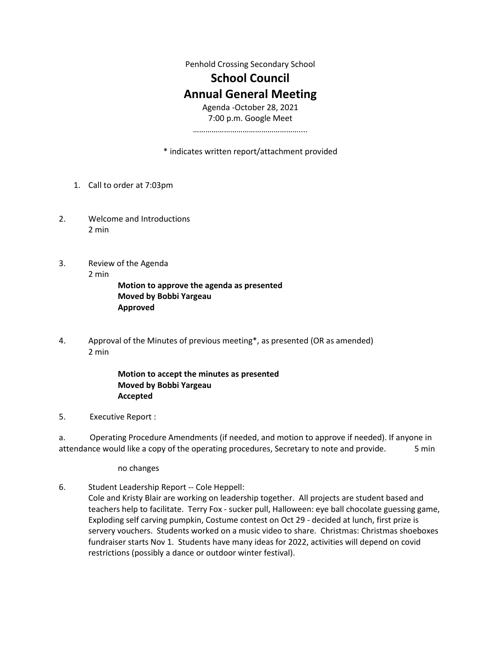Penhold Crossing Secondary School

## **School Council Annual General Meeting**

Agenda -October 28, 2021 7:00 p.m. Google Meet ……………………………………………....

\* indicates written report/attachment provided

- 1. Call to order at 7:03pm
- 2. Welcome and Introductions 2 min
- 3. Review of the Agenda 2 min **Motion to approve the agenda as presented Moved by Bobbi Yargeau**
	- **Approved**
- 4. Approval of the Minutes of previous meeting\*, as presented (OR as amended) 2 min

## **Motion to accept the minutes as presented Moved by Bobbi Yargeau Accepted**

5. Executive Report :

a. Operating Procedure Amendments (if needed, and motion to approve if needed). If anyone in attendance would like a copy of the operating procedures, Secretary to note and provide. 5 min

no changes

6. Student Leadership Report -- Cole Heppell:

Cole and Kristy Blair are working on leadership together. All projects are student based and teachers help to facilitate. Terry Fox - sucker pull, Halloween: eye ball chocolate guessing game, Exploding self carving pumpkin, Costume contest on Oct 29 - decided at lunch, first prize is servery vouchers. Students worked on a music video to share. Christmas: Christmas shoeboxes fundraiser starts Nov 1. Students have many ideas for 2022, activities will depend on covid restrictions (possibly a dance or outdoor winter festival).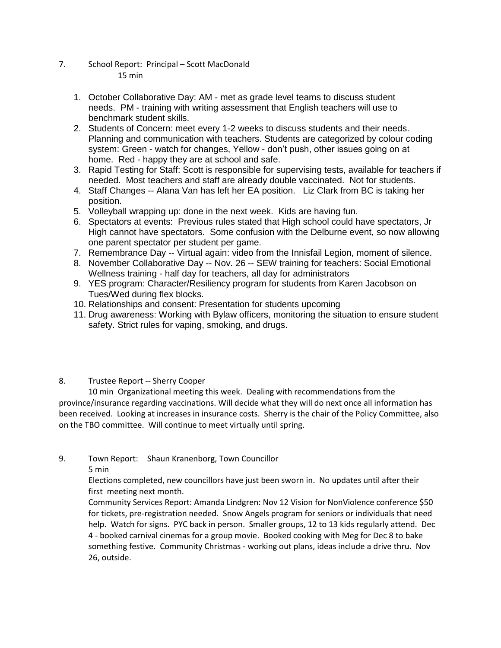- 7. School Report: Principal Scott MacDonald 15 min
	- 1. October Collaborative Day: AM met as grade level teams to discuss student needs. PM - training with writing assessment that English teachers will use to benchmark student skills.
	- 2. Students of Concern: meet every 1-2 weeks to discuss students and their needs. Planning and communication with teachers. Students are categorized by colour coding system: Green - watch for changes, Yellow - don't push, other issues going on at home. Red - happy they are at school and safe.
	- 3. Rapid Testing for Staff: Scott is responsible for supervising tests, available for teachers if needed. Most teachers and staff are already double vaccinated. Not for students.
	- 4. Staff Changes -- Alana Van has left her EA position. Liz Clark from BC is taking her position.
	- 5. Volleyball wrapping up: done in the next week. Kids are having fun.
	- 6. Spectators at events: Previous rules stated that High school could have spectators, Jr High cannot have spectators. Some confusion with the Delburne event, so now allowing one parent spectator per student per game.
	- 7. Remembrance Day -- Virtual again: video from the Innisfail Legion, moment of silence.
	- 8. November Collaborative Day -- Nov. 26 -- SEW training for teachers: Social Emotional Wellness training - half day for teachers, all day for administrators
	- 9. YES program: Character/Resiliency program for students from Karen Jacobson on Tues/Wed during flex blocks.
	- 10. Relationships and consent: Presentation for students upcoming
	- 11. Drug awareness: Working with Bylaw officers, monitoring the situation to ensure student safety. Strict rules for vaping, smoking, and drugs.

## 8. Trustee Report -- Sherry Cooper

10 min Organizational meeting this week. Dealing with recommendations from the province/insurance regarding vaccinations. Will decide what they will do next once all information has been received. Looking at increases in insurance costs. Sherry is the chair of the Policy Committee, also on the TBO committee. Will continue to meet virtually until spring.

9. Town Report: Shaun Kranenborg, Town Councillor

5 min

Elections completed, new councillors have just been sworn in. No updates until after their first meeting next month.

Community Services Report: Amanda Lindgren: Nov 12 Vision for NonViolence conference \$50 for tickets, pre-registration needed. Snow Angels program for seniors or individuals that need help. Watch for signs. PYC back in person. Smaller groups, 12 to 13 kids regularly attend. Dec 4 - booked carnival cinemas for a group movie. Booked cooking with Meg for Dec 8 to bake something festive. Community Christmas - working out plans, ideas include a drive thru. Nov 26, outside.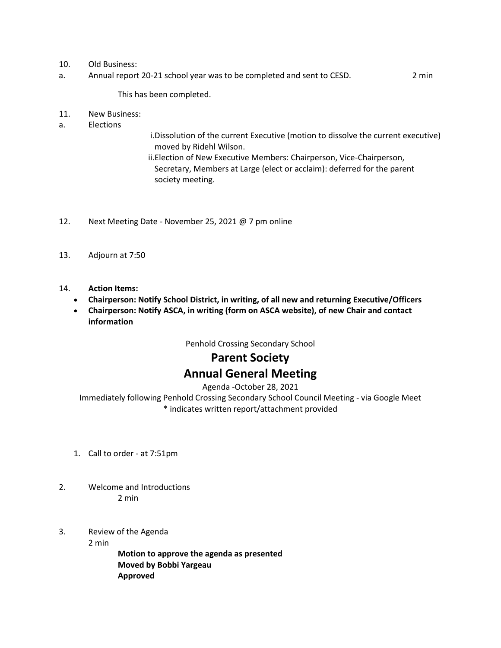#### 10. Old Business:

a. Annual report 20-21 school year was to be completed and sent to CESD. 2 min

This has been completed.

- 11. New Business:
- a. Elections
- i.Dissolution of the current Executive (motion to dissolve the current executive) moved by Ridehl Wilson.
- ii.Election of New Executive Members: Chairperson, Vice-Chairperson, Secretary, Members at Large (elect or acclaim): deferred for the parent society meeting.
- 12. Next Meeting Date November 25, 2021 @ 7 pm online
- 13. Adjourn at 7:50
- 14. **Action Items:**
	- **Chairperson: Notify School District, in writing, of all new and returning Executive/Officers**
	- **Chairperson: Notify ASCA, in writing (form on ASCA website), of new Chair and contact information**

Penhold Crossing Secondary School

# **Parent Society Annual General Meeting**

Agenda -October 28, 2021

Immediately following Penhold Crossing Secondary School Council Meeting - via Google Meet \* indicates written report/attachment provided

- 1. Call to order at 7:51pm
- 2. Welcome and Introductions 2 min
- 3. Review of the Agenda

2 min

**Motion to approve the agenda as presented Moved by Bobbi Yargeau Approved**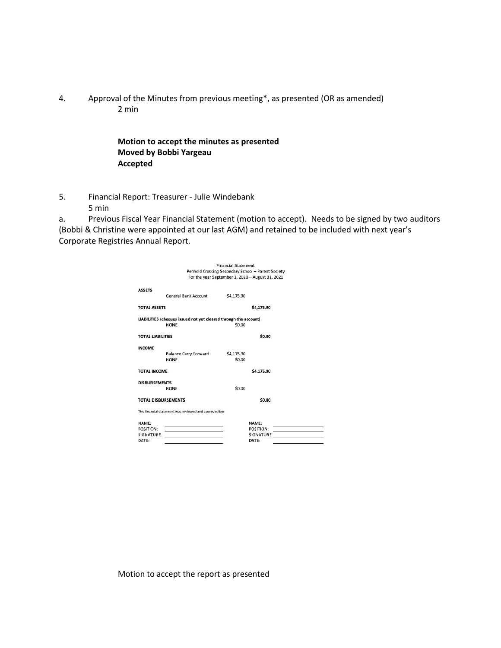4. Approval of the Minutes from previous meeting\*, as presented (OR as amended) 2 min

#### **Motion to accept the minutes as presented Moved by Bobbi Yargeau Accepted**

5. Financial Report: Treasurer - Julie Windebank 5 min

a. Previous Fiscal Year Financial Statement (motion to accept). Needs to be signed by two auditors (Bobbi & Christine were appointed at our last AGM) and retained to be included with next year's Corporate Registries Annual Report.

| <b>Financial Statement</b>                                       |                                     |  |  |  |
|------------------------------------------------------------------|-------------------------------------|--|--|--|
| Penhold Crossing Secondary School - Parent Society               |                                     |  |  |  |
| For the year September 1, 2020 - August 31, 2021                 |                                     |  |  |  |
| <b>ASSETS</b><br><b>General Bank Account</b><br>\$4,175.90       |                                     |  |  |  |
| <b>TOTAL ASSETS</b><br>\$4.175.90                                |                                     |  |  |  |
| LIABILITIES (cheques issued not yet cleared through the account) |                                     |  |  |  |
| <b>NONE</b><br>\$0.00                                            |                                     |  |  |  |
| \$0.00<br><b>TOTAL LIABILITIES</b>                               |                                     |  |  |  |
| <b>INCOME</b>                                                    |                                     |  |  |  |
| <b>Balance Carry Forward</b><br>\$4,175.90                       |                                     |  |  |  |
| \$0.00<br><b>NONE</b>                                            |                                     |  |  |  |
|                                                                  |                                     |  |  |  |
| <b>TOTAL INCOME</b><br>\$4,175.90                                |                                     |  |  |  |
| <b>DISBURSEMENTS</b>                                             |                                     |  |  |  |
| \$0.00<br><b>NONE</b>                                            |                                     |  |  |  |
| \$0.00<br><b>TOTAL DISBURSEMENTS</b>                             |                                     |  |  |  |
| This financial statement was reviewed and approved by:           |                                     |  |  |  |
| NAMF:<br>NAMF:                                                   |                                     |  |  |  |
| POSITION:<br>POSITION:                                           |                                     |  |  |  |
| SIGNATURE<br>SIGNATURE                                           | and the contract of the contract of |  |  |  |
| DATE:<br>DATE:                                                   |                                     |  |  |  |

Motion to accept the report as presented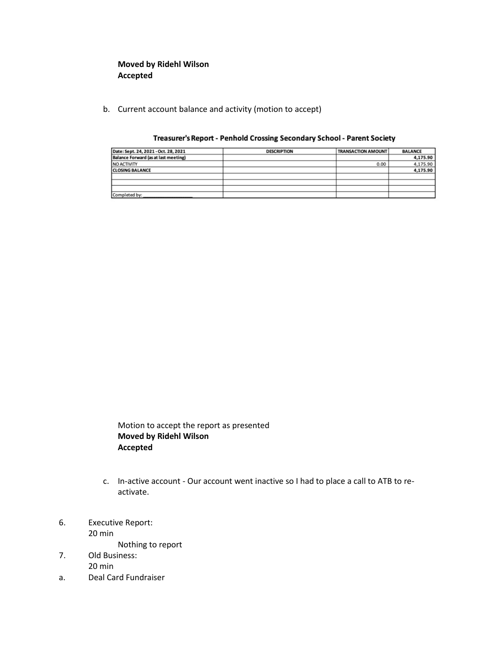## **Moved by Ridehl Wilson Accepted**

b. Current account balance and activity (motion to accept)

| Date: Sept. 24, 2021 - Oct. 28, 2021 | <b>DESCRIPTION</b> | <b>TRANSACTION AMOUNT</b> | <b>BALANCE</b> |
|--------------------------------------|--------------------|---------------------------|----------------|
| Balance Forward (as at last meeting) |                    |                           | 4,175.90       |
| <b>NO ACTIVITY</b>                   |                    | 0.00                      | 4,175.90       |
| <b>CLOSING BALANCE</b>               |                    |                           | 4,175.90       |
|                                      |                    |                           |                |
|                                      |                    |                           |                |
|                                      |                    |                           |                |
| Completed by:                        |                    |                           |                |

#### Treasurer's Report - Penhold Crossing Secondary School - Parent Society

Motion to accept the report as presented **Moved by Ridehl Wilson Accepted**

- c. In-active account Our account went inactive so I had to place a call to ATB to reactivate.
- 6. Executive Report: 20 min

Nothing to report

- 7. Old Business: 20 min
- a. Deal Card Fundraiser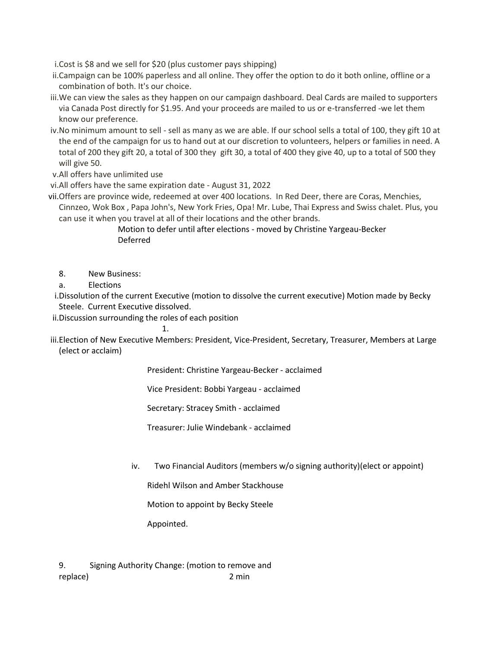i.Cost is \$8 and we sell for \$20 (plus customer pays shipping)

- ii.Campaign can be 100% paperless and all online. They offer the option to do it both online, offline or a combination of both. It's our choice.
- iii.We can view the sales as they happen on our campaign dashboard. Deal Cards are mailed to supporters via Canada Post directly for \$1.95. And your proceeds are mailed to us or e-transferred -we let them know our preference.
- iv.No minimum amount to sell sell as many as we are able. If our school sells a total of 100, they gift 10 at the end of the campaign for us to hand out at our discretion to volunteers, helpers or families in need. A total of 200 they gift 20, a total of 300 they gift 30, a total of 400 they give 40, up to a total of 500 they will give 50.

v.All offers have unlimited use

vi.All offers have the same expiration date - August 31, 2022

vii.Offers are province wide, redeemed at over 400 locations. In Red Deer, there are Coras, Menchies, Cinnzeo, Wok Box , Papa John's, New York Fries, Opa! Mr. Lube, Thai Express and Swiss chalet. Plus, you can use it when you travel at all of their locations and the other brands.

## Motion to defer until after elections - moved by Christine Yargeau-Becker Deferred

8. New Business:

a. Elections

- i.Dissolution of the current Executive (motion to dissolve the current executive) Motion made by Becky Steele. Current Executive dissolved.
- ii.Discussion surrounding the roles of each position
	- 1.

iii.Election of New Executive Members: President, Vice-President, Secretary, Treasurer, Members at Large (elect or acclaim)

President: Christine Yargeau-Becker - acclaimed

Vice President: Bobbi Yargeau - acclaimed

Secretary: Stracey Smith - acclaimed

Treasurer: Julie Windebank - acclaimed

iv. Two Financial Auditors (members w/o signing authority)(elect or appoint)

Ridehl Wilson and Amber Stackhouse

Motion to appoint by Becky Steele

Appointed.

9. Signing Authority Change: (motion to remove and replace) 2 min